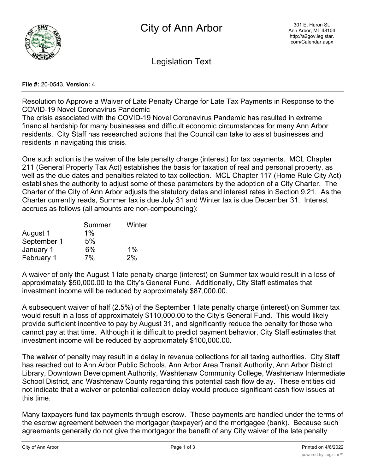

Legislation Text

## **File #:** 20-0543, **Version:** 4

Resolution to Approve a Waiver of Late Penalty Charge for Late Tax Payments in Response to the COVID-19 Novel Coronavirus Pandemic

The crisis associated with the COVID-19 Novel Coronavirus Pandemic has resulted in extreme financial hardship for many businesses and difficult economic circumstances for many Ann Arbor residents. City Staff has researched actions that the Council can take to assist businesses and residents in navigating this crisis.

One such action is the waiver of the late penalty charge (interest) for tax payments. MCL Chapter 211 (General Property Tax Act) establishes the basis for taxation of real and personal property, as well as the due dates and penalties related to tax collection. MCL Chapter 117 (Home Rule City Act) establishes the authority to adjust some of these parameters by the adoption of a City Charter. The Charter of the City of Ann Arbor adjusts the statutory dates and interest rates in Section 9.21. As the Charter currently reads, Summer tax is due July 31 and Winter tax is due December 31. Interest accrues as follows (all amounts are non-compounding):

|             | Summer | Winter |
|-------------|--------|--------|
| August 1    | $1\%$  |        |
| September 1 | 5%     |        |
| January 1   | 6%     | $1\%$  |
| February 1  | 7%     | 2%     |

A waiver of only the August 1 late penalty charge (interest) on Summer tax would result in a loss of approximately \$50,000.00 to the City's General Fund. Additionally, City Staff estimates that investment income will be reduced by approximately \$87,000.00.

A subsequent waiver of half (2.5%) of the September 1 late penalty charge (interest) on Summer tax would result in a loss of approximately \$110,000.00 to the City's General Fund. This would likely provide sufficient incentive to pay by August 31, and significantly reduce the penalty for those who cannot pay at that time. Although it is difficult to predict payment behavior, City Staff estimates that investment income will be reduced by approximately \$100,000.00.

The waiver of penalty may result in a delay in revenue collections for all taxing authorities. City Staff has reached out to Ann Arbor Public Schools, Ann Arbor Area Transit Authority, Ann Arbor District Library, Downtown Development Authority, Washtenaw Community College, Washtenaw Intermediate School District, and Washtenaw County regarding this potential cash flow delay. These entities did not indicate that a waiver or potential collection delay would produce significant cash flow issues at this time.

Many taxpayers fund tax payments through escrow. These payments are handled under the terms of the escrow agreement between the mortgagor (taxpayer) and the mortgagee (bank). Because such agreements generally do not give the mortgagor the benefit of any City waiver of the late penalty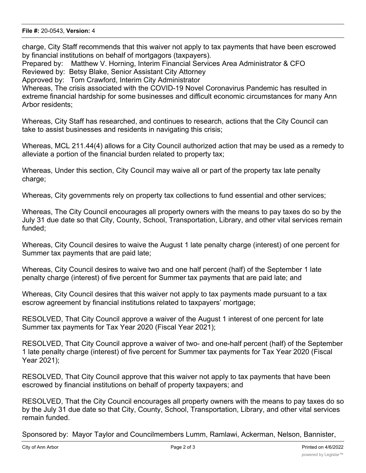## **File #:** 20-0543, **Version:** 4

charge, City Staff recommends that this waiver not apply to tax payments that have been escrowed by financial institutions on behalf of mortgagors (taxpayers).

Prepared by: Matthew V. Horning, Interim Financial Services Area Administrator & CFO Reviewed by: Betsy Blake, Senior Assistant City Attorney Approved by: Tom Crawford, Interim City Administrator

Whereas, The crisis associated with the COVID-19 Novel Coronavirus Pandemic has resulted in extreme financial hardship for some businesses and difficult economic circumstances for many Ann Arbor residents;

Whereas, City Staff has researched, and continues to research, actions that the City Council can take to assist businesses and residents in navigating this crisis;

Whereas, MCL 211.44(4) allows for a City Council authorized action that may be used as a remedy to alleviate a portion of the financial burden related to property tax;

Whereas, Under this section, City Council may waive all or part of the property tax late penalty charge;

Whereas, City governments rely on property tax collections to fund essential and other services;

Whereas, The City Council encourages all property owners with the means to pay taxes do so by the July 31 due date so that City, County, School, Transportation, Library, and other vital services remain funded;

Whereas, City Council desires to waive the August 1 late penalty charge (interest) of one percent for Summer tax payments that are paid late;

Whereas, City Council desires to waive two and one half percent (half) of the September 1 late penalty charge (interest) of five percent for Summer tax payments that are paid late; and

Whereas, City Council desires that this waiver not apply to tax payments made pursuant to a tax escrow agreement by financial institutions related to taxpayers' mortgage;

RESOLVED, That City Council approve a waiver of the August 1 interest of one percent for late Summer tax payments for Tax Year 2020 (Fiscal Year 2021);

RESOLVED, That City Council approve a waiver of two- and one-half percent (half) of the September 1 late penalty charge (interest) of five percent for Summer tax payments for Tax Year 2020 (Fiscal Year 2021);

RESOLVED, That City Council approve that this waiver not apply to tax payments that have been escrowed by financial institutions on behalf of property taxpayers; and

RESOLVED, That the City Council encourages all property owners with the means to pay taxes do so by the July 31 due date so that City, County, School, Transportation, Library, and other vital services remain funded.

Sponsored by: Mayor Taylor and Councilmembers Lumm, Ramlawi, Ackerman, Nelson, Bannister,